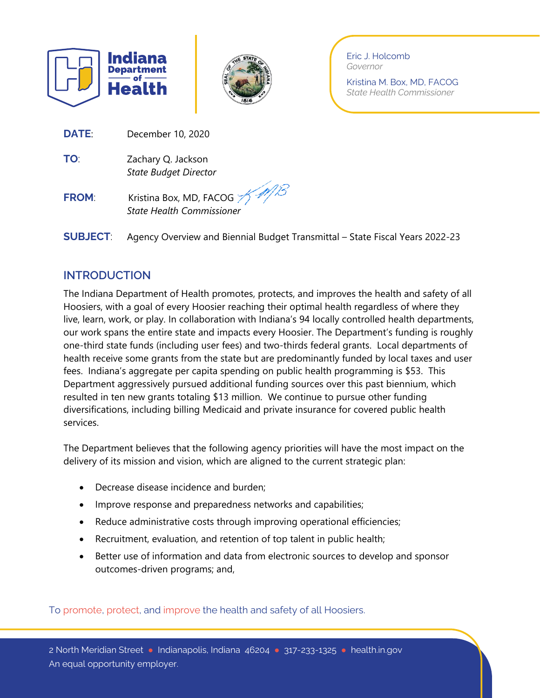



Eric J. Holcomb *Governor*

Kristina M. Box, MD, FACOG *State Health Commissioner*

**DATE**: December 10, 2020

**TO**: Zachary Q. Jackson *State Budget Director*

# **FROM:** Kristina Box, MD, FACOG *State Health Commissioner*

**SUBJECT**: Agency Overview and Biennial Budget Transmittal – State Fiscal Years 2022-23

# **INTRODUCTION**

The Indiana Department of Health promotes, protects, and improves the health and safety of all Hoosiers, with a goal of every Hoosier reaching their optimal health regardless of where they live, learn, work, or play. In collaboration with Indiana's 94 locally controlled health departments, our work spans the entire state and impacts every Hoosier. The Department's funding is roughly one-third state funds (including user fees) and two-thirds federal grants. Local departments of health receive some grants from the state but are predominantly funded by local taxes and user fees. Indiana's aggregate per capita spending on public health programming is \$53. This Department aggressively pursued additional funding sources over this past biennium, which resulted in ten new grants totaling \$13 million. We continue to pursue other funding diversifications, including billing Medicaid and private insurance for covered public health services.

The Department believes that the following agency priorities will have the most impact on the delivery of its mission and vision, which are aligned to the current strategic plan:

- Decrease disease incidence and burden;
- Improve response and preparedness networks and capabilities;
- Reduce administrative costs through improving operational efficiencies;
- Recruitment, evaluation, and retention of top talent in public health;
- Better use of information and data from electronic sources to develop and sponsor outcomes-driven programs; and,

To promote, protect, and improve the health and safety of all Hoosiers.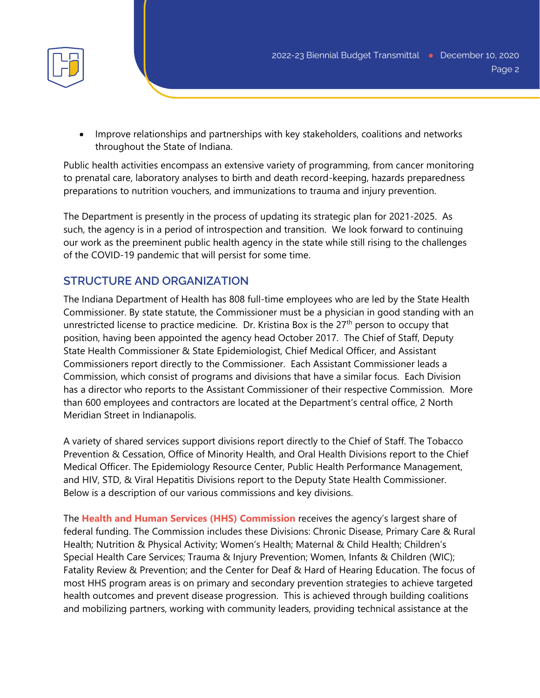

• Improve relationships and partnerships with key stakeholders, coalitions and networks throughout the State of Indiana.

Public health activities encompass an extensive variety of programming, from cancer monitoring to prenatal care, laboratory analyses to birth and death record-keeping, hazards preparedness preparations to nutrition vouchers, and immunizations to trauma and injury prevention.

The Department is presently in the process of updating its strategic plan for 2021-2025. As such, the agency is in a period of introspection and transition. We look forward to continuing our work as the preeminent public health agency in the state while still rising to the challenges of the COVID-19 pandemic that will persist for some time.

# **STRUCTURE AND ORGANIZATION**

The Indiana Department of Health has 808 full-time employees who are led by the State Health Commissioner. By state statute, the Commissioner must be a physician in good standing with an unrestricted license to practice medicine. Dr. Kristina Box is the  $27<sup>th</sup>$  person to occupy that position, having been appointed the agency head October 2017. The Chief of Staff, Deputy State Health Commissioner & State Epidemiologist, Chief Medical Officer, and Assistant Commissioners report directly to the Commissioner. Each Assistant Commissioner leads a Commission, which consist of programs and divisions that have a similar focus. Each Division has a director who reports to the Assistant Commissioner of their respective Commission. More than 600 employees and contractors are located at the Department's central office, 2 North Meridian Street in Indianapolis.

A variety of shared services support divisions report directly to the Chief of Staff. The Tobacco Prevention & Cessation, Office of Minority Health, and Oral Health Divisions report to the Chief Medical Officer. The Epidemiology Resource Center, Public Health Performance Management, and HIV, STD, & Viral Hepatitis Divisions report to the Deputy State Health Commissioner. Below is a description of our various commissions and key divisions.

The **Health and Human Services (HHS) Commission** receives the agency's largest share of federal funding. The Commission includes these Divisions: Chronic Disease, Primary Care & Rural Health; Nutrition & Physical Activity; Women's Health; Maternal & Child Health; Children's Special Health Care Services; Trauma & Injury Prevention; Women, Infants & Children (WIC); Fatality Review & Prevention; and the Center for Deaf & Hard of Hearing Education. The focus of most HHS program areas is on primary and secondary prevention strategies to achieve targeted health outcomes and prevent disease progression. This is achieved through building coalitions and mobilizing partners, working with community leaders, providing technical assistance at the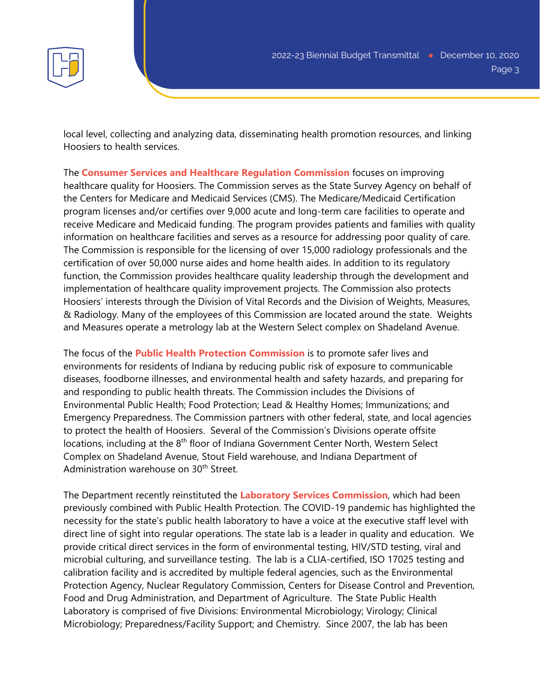

local level, collecting and analyzing data, disseminating health promotion resources, and linking Hoosiers to health services.

The **Consumer Services and Healthcare Regulation Commission** focuses on improving healthcare quality for Hoosiers. The Commission serves as the State Survey Agency on behalf of the Centers for Medicare and Medicaid Services (CMS). The Medicare/Medicaid Certification program licenses and/or certifies over 9,000 acute and long-term care facilities to operate and receive Medicare and Medicaid funding. The program provides patients and families with quality information on healthcare facilities and serves as a resource for addressing poor quality of care. The Commission is responsible for the licensing of over 15,000 radiology professionals and the certification of over 50,000 nurse aides and home health aides. In addition to its regulatory function, the Commission provides healthcare quality leadership through the development and implementation of healthcare quality improvement projects. The Commission also protects Hoosiers' interests through the Division of Vital Records and the Division of Weights, Measures, & Radiology. Many of the employees of this Commission are located around the state. Weights and Measures operate a metrology lab at the Western Select complex on Shadeland Avenue.

The focus of the **Public Health Protection Commission** is to promote safer lives and environments for residents of Indiana by reducing public risk of exposure to communicable diseases, foodborne illnesses, and environmental health and safety hazards, and preparing for and responding to public health threats. The Commission includes the Divisions of Environmental Public Health; Food Protection; Lead & Healthy Homes; Immunizations; and Emergency Preparedness. The Commission partners with other federal, state, and local agencies to protect the health of Hoosiers. Several of the Commission's Divisions operate offsite locations, including at the 8<sup>th</sup> floor of Indiana Government Center North, Western Select Complex on Shadeland Avenue, Stout Field warehouse, and Indiana Department of Administration warehouse on 30<sup>th</sup> Street.

The Department recently reinstituted the **Laboratory Services Commission**, which had been previously combined with Public Health Protection. The COVID-19 pandemic has highlighted the necessity for the state's public health laboratory to have a voice at the executive staff level with direct line of sight into regular operations. The state lab is a leader in quality and education. We provide critical direct services in the form of environmental testing, HIV/STD testing, viral and microbial culturing, and surveillance testing. The lab is a CLIA-certified, ISO 17025 testing and calibration facility and is accredited by multiple federal agencies, such as the Environmental Protection Agency, Nuclear Regulatory Commission, Centers for Disease Control and Prevention, Food and Drug Administration, and Department of Agriculture. The State Public Health Laboratory is comprised of five Divisions: Environmental Microbiology; Virology; Clinical Microbiology; Preparedness/Facility Support; and Chemistry. Since 2007, the lab has been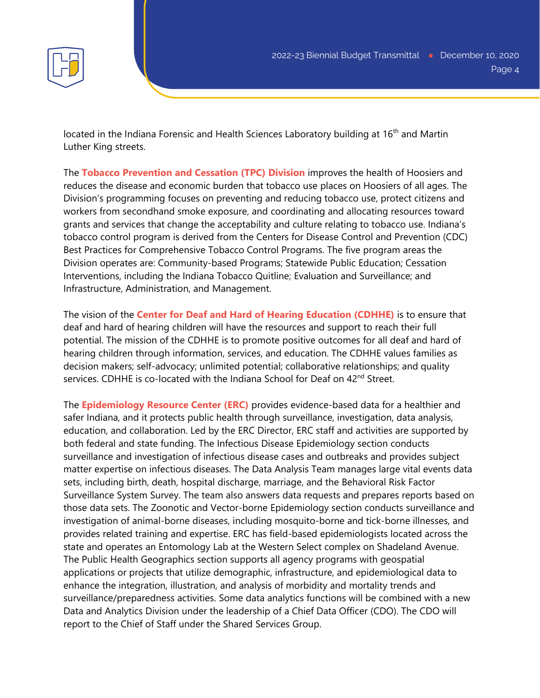

located in the Indiana Forensic and Health Sciences Laboratory building at 16<sup>th</sup> and Martin Luther King streets.

The **Tobacco Prevention and Cessation (TPC) Division** improves the health of Hoosiers and reduces the disease and economic burden that tobacco use places on Hoosiers of all ages. The Division's programming focuses on preventing and reducing tobacco use, protect citizens and workers from secondhand smoke exposure, and coordinating and allocating resources toward grants and services that change the acceptability and culture relating to tobacco use. Indiana's tobacco control program is derived from the Centers for Disease Control and Prevention (CDC) Best Practices for Comprehensive Tobacco Control Programs. The five program areas the Division operates are: Community-based Programs; Statewide Public Education; Cessation Interventions, including the Indiana Tobacco Quitline; Evaluation and Surveillance; and Infrastructure, Administration, and Management.

The vision of the **Center for Deaf and Hard of Hearing Education (CDHHE)** is to ensure that deaf and hard of hearing children will have the resources and support to reach their full potential. The mission of the CDHHE is to promote positive outcomes for all deaf and hard of hearing children through information, services, and education. The CDHHE values families as decision makers; self-advocacy; unlimited potential; collaborative relationships; and quality services. CDHHE is co-located with the Indiana School for Deaf on 42<sup>nd</sup> Street.

The **Epidemiology Resource Center (ERC)** provides evidence-based data for a healthier and safer Indiana, and it protects public health through surveillance, investigation, data analysis, education, and collaboration. Led by the ERC Director, ERC staff and activities are supported by both federal and state funding. The Infectious Disease Epidemiology section conducts surveillance and investigation of infectious disease cases and outbreaks and provides subject matter expertise on infectious diseases. The Data Analysis Team manages large vital events data sets, including birth, death, hospital discharge, marriage, and the Behavioral Risk Factor Surveillance System Survey. The team also answers data requests and prepares reports based on those data sets. The Zoonotic and Vector-borne Epidemiology section conducts surveillance and investigation of animal-borne diseases, including mosquito-borne and tick-borne illnesses, and provides related training and expertise. ERC has field-based epidemiologists located across the state and operates an Entomology Lab at the Western Select complex on Shadeland Avenue. The Public Health Geographics section supports all agency programs with geospatial applications or projects that utilize demographic, infrastructure, and epidemiological data to enhance the integration, illustration, and analysis of morbidity and mortality trends and surveillance/preparedness activities. Some data analytics functions will be combined with a new Data and Analytics Division under the leadership of a Chief Data Officer (CDO). The CDO will report to the Chief of Staff under the Shared Services Group.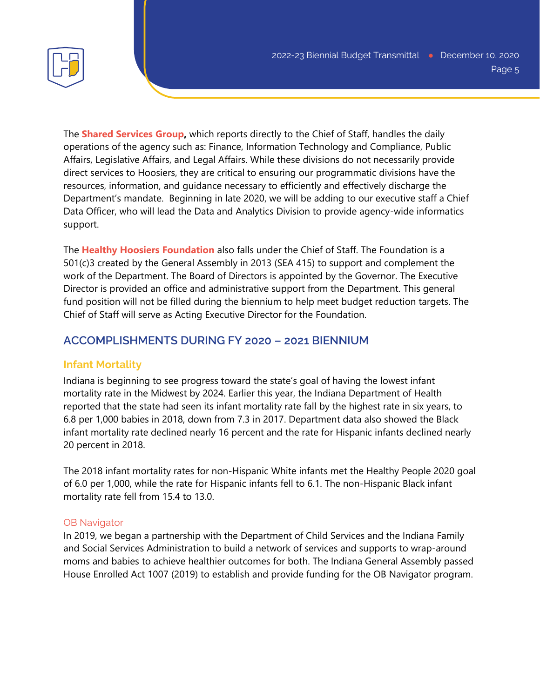

The **Shared Services Group,** which reports directly to the Chief of Staff, handles the daily operations of the agency such as: Finance, Information Technology and Compliance, Public Affairs, Legislative Affairs, and Legal Affairs. While these divisions do not necessarily provide direct services to Hoosiers, they are critical to ensuring our programmatic divisions have the resources, information, and guidance necessary to efficiently and effectively discharge the Department's mandate. Beginning in late 2020, we will be adding to our executive staff a Chief Data Officer, who will lead the Data and Analytics Division to provide agency-wide informatics support.

The **Healthy Hoosiers Foundation** also falls under the Chief of Staff. The Foundation is a 501(c)3 created by the General Assembly in 2013 (SEA 415) to support and complement the work of the Department. The Board of Directors is appointed by the Governor. The Executive Director is provided an office and administrative support from the Department. This general fund position will not be filled during the biennium to help meet budget reduction targets. The Chief of Staff will serve as Acting Executive Director for the Foundation.

# **ACCOMPLISHMENTS DURING FY 2020 – 2021 BIENNIUM**

# **Infant Mortality**

Indiana is beginning to see progress toward the state's goal of having the lowest infant mortality rate in the Midwest by 2024. Earlier this year, the Indiana Department of Health reported that the state had seen its infant mortality rate fall by the highest rate in six years, to 6.8 per 1,000 babies in 2018, down from 7.3 in 2017. Department data also showed the Black infant mortality rate declined nearly 16 percent and the rate for Hispanic infants declined nearly 20 percent in 2018.

The 2018 infant mortality rates for non-Hispanic White infants met the Healthy People 2020 goal of 6.0 per 1,000, while the rate for Hispanic infants fell to 6.1. The non-Hispanic Black infant mortality rate fell from 15.4 to 13.0.

## OB Navigator

In 2019, we began a partnership with the Department of Child Services and the Indiana Family and Social Services Administration to build a network of services and supports to wrap-around moms and babies to achieve healthier outcomes for both. The Indiana General Assembly passed House Enrolled Act 1007 (2019) to establish and provide funding for the OB Navigator program.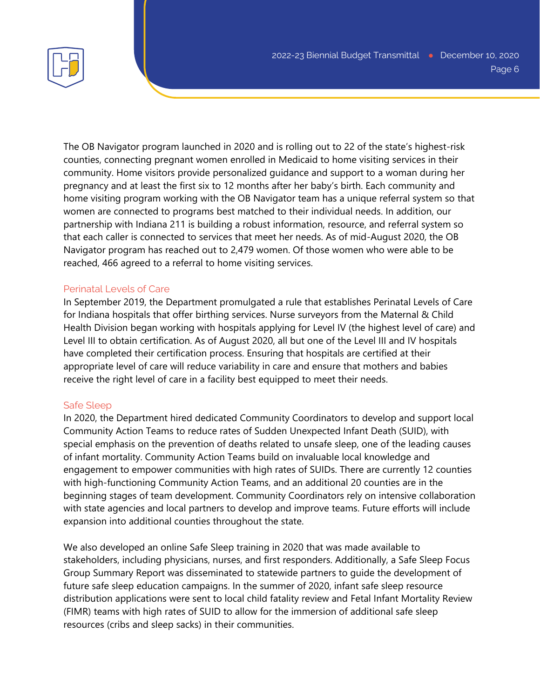

The OB Navigator program launched in 2020 and is rolling out to 22 of the state's highest-risk counties, connecting pregnant women enrolled in Medicaid to home visiting services in their community. Home visitors provide personalized guidance and support to a woman during her pregnancy and at least the first six to 12 months after her baby's birth. Each community and home visiting program working with the OB Navigator team has a unique referral system so that women are connected to programs best matched to their individual needs. In addition, our partnership with Indiana 211 is building a robust information, resource, and referral system so that each caller is connected to services that meet her needs. As of mid-August 2020, the OB Navigator program has reached out to 2,479 women. Of those women who were able to be reached, 466 agreed to a referral to home visiting services.

#### Perinatal Levels of Care

In September 2019, the Department promulgated a rule that establishes Perinatal Levels of Care for Indiana hospitals that offer birthing services. Nurse surveyors from the Maternal & Child Health Division began working with hospitals applying for Level IV (the highest level of care) and Level III to obtain certification. As of August 2020, all but one of the Level III and IV hospitals have completed their certification process. Ensuring that hospitals are certified at their appropriate level of care will reduce variability in care and ensure that mothers and babies receive the right level of care in a facility best equipped to meet their needs.

#### Safe Sleep

In 2020, the Department hired dedicated Community Coordinators to develop and support local Community Action Teams to reduce rates of Sudden Unexpected Infant Death (SUID), with special emphasis on the prevention of deaths related to unsafe sleep, one of the leading causes of infant mortality. Community Action Teams build on invaluable local knowledge and engagement to empower communities with high rates of SUIDs. There are currently 12 counties with high-functioning Community Action Teams, and an additional 20 counties are in the beginning stages of team development. Community Coordinators rely on intensive collaboration with state agencies and local partners to develop and improve teams. Future efforts will include expansion into additional counties throughout the state.

We also developed an online Safe Sleep training in 2020 that was made available to stakeholders, including physicians, nurses, and first responders. Additionally, a Safe Sleep Focus Group Summary Report was disseminated to statewide partners to guide the development of future safe sleep education campaigns. In the summer of 2020, infant safe sleep resource distribution applications were sent to local child fatality review and Fetal Infant Mortality Review (FIMR) teams with high rates of SUID to allow for the immersion of additional safe sleep resources (cribs and sleep sacks) in their communities.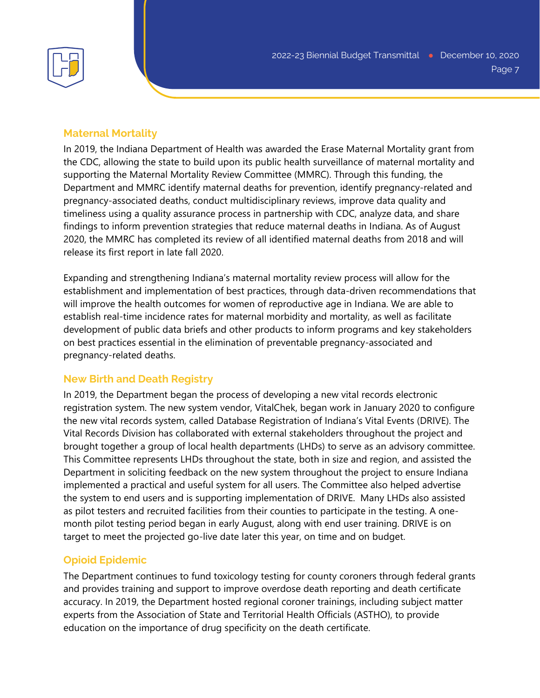

#### **Maternal Mortality**

In 2019, the Indiana Department of Health was awarded the Erase Maternal Mortality grant from the CDC, allowing the state to build upon its public health surveillance of maternal mortality and supporting the Maternal Mortality Review Committee (MMRC). Through this funding, the Department and MMRC identify maternal deaths for prevention, identify pregnancy-related and pregnancy-associated deaths, conduct multidisciplinary reviews, improve data quality and timeliness using a quality assurance process in partnership with CDC, analyze data, and share findings to inform prevention strategies that reduce maternal deaths in Indiana. As of August 2020, the MMRC has completed its review of all identified maternal deaths from 2018 and will release its first report in late fall 2020.

Expanding and strengthening Indiana's maternal mortality review process will allow for the establishment and implementation of best practices, through data-driven recommendations that will improve the health outcomes for women of reproductive age in Indiana. We are able to establish real-time incidence rates for maternal morbidity and mortality, as well as facilitate development of public data briefs and other products to inform programs and key stakeholders on best practices essential in the elimination of preventable pregnancy-associated and pregnancy-related deaths.

#### **New Birth and Death Registry**

In 2019, the Department began the process of developing a new vital records electronic registration system. The new system vendor, VitalChek, began work in January 2020 to configure the new vital records system, called Database Registration of Indiana's Vital Events (DRIVE). The Vital Records Division has collaborated with external stakeholders throughout the project and brought together a group of local health departments (LHDs) to serve as an advisory committee. This Committee represents LHDs throughout the state, both in size and region, and assisted the Department in soliciting feedback on the new system throughout the project to ensure Indiana implemented a practical and useful system for all users. The Committee also helped advertise the system to end users and is supporting implementation of DRIVE. Many LHDs also assisted as pilot testers and recruited facilities from their counties to participate in the testing. A onemonth pilot testing period began in early August, along with end user training. DRIVE is on target to meet the projected go-live date later this year, on time and on budget.

#### **Opioid Epidemic**

The Department continues to fund toxicology testing for county coroners through federal grants and provides training and support to improve overdose death reporting and death certificate accuracy. In 2019, the Department hosted regional coroner trainings, including subject matter experts from the Association of State and Territorial Health Officials (ASTHO), to provide education on the importance of drug specificity on the death certificate.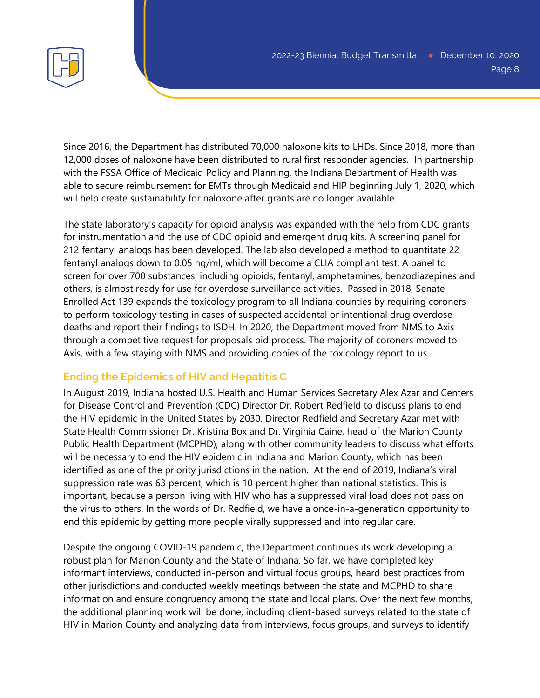

Since 2016, the Department has distributed 70,000 naloxone kits to LHDs. Since 2018, more than 12,000 doses of naloxone have been distributed to rural first responder agencies. In partnership with the FSSA Office of Medicaid Policy and Planning, the Indiana Department of Health was able to secure reimbursement for EMTs through Medicaid and HIP beginning July 1, 2020, which will help create sustainability for naloxone after grants are no longer available.

The state laboratory's capacity for opioid analysis was expanded with the help from CDC grants for instrumentation and the use of CDC opioid and emergent drug kits. A screening panel for 212 fentanyl analogs has been developed. The lab also developed a method to quantitate 22 fentanyl analogs down to 0.05 ng/ml, which will become a CLIA compliant test. A panel to screen for over 700 substances, including opioids, fentanyl, amphetamines, benzodiazepines and others, is almost ready for use for overdose surveillance activities. Passed in 2018, Senate Enrolled Act 139 expands the toxicology program to all Indiana counties by requiring coroners to perform toxicology testing in cases of suspected accidental or intentional drug overdose deaths and report their findings to ISDH. In 2020, the Department moved from NMS to Axis through a competitive request for proposals bid process. The majority of coroners moved to Axis, with a few staying with NMS and providing copies of the toxicology report to us.

# **Ending the Epidemics of HIV and Hepatitis C**

In August 2019, Indiana hosted U.S. Health and Human Services Secretary Alex Azar and Centers for Disease Control and Prevention (CDC) Director Dr. Robert Redfield to discuss plans to end the HIV epidemic in the United States by 2030. Director Redfield and Secretary Azar met with State Health Commissioner Dr. Kristina Box and Dr. Virginia Caine, head of the Marion County Public Health Department (MCPHD), along with other community leaders to discuss what efforts will be necessary to end the HIV epidemic in Indiana and Marion County, which has been identified as one of the priority jurisdictions in the nation. At the end of 2019, Indiana's viral suppression rate was 63 percent, which is 10 percent higher than national statistics. This is important, because a person living with HIV who has a suppressed viral load does not pass on the virus to others. In the words of Dr. Redfield, we have a once-in-a-generation opportunity to end this epidemic by getting more people virally suppressed and into regular care.

Despite the ongoing COVID-19 pandemic, the Department continues its work developing a robust plan for Marion County and the State of Indiana. So far, we have completed key informant interviews, conducted in-person and virtual focus groups, heard best practices from other jurisdictions and conducted weekly meetings between the state and MCPHD to share information and ensure congruency among the state and local plans. Over the next few months, the additional planning work will be done, including client-based surveys related to the state of HIV in Marion County and analyzing data from interviews, focus groups, and surveys to identify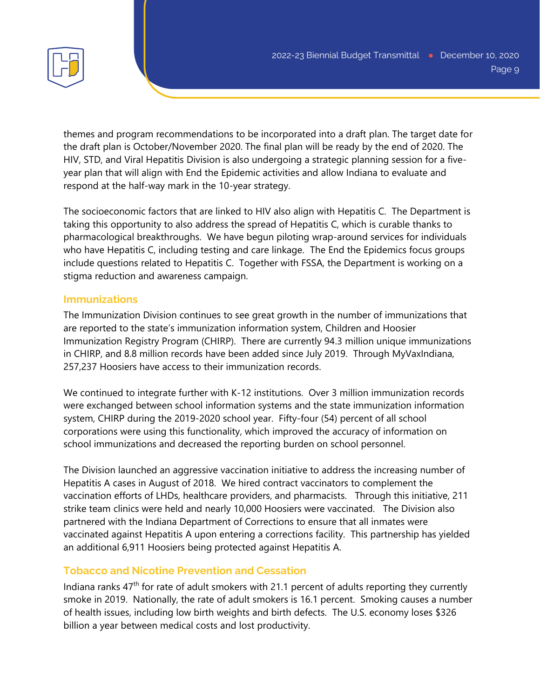

themes and program recommendations to be incorporated into a draft plan. The target date for the draft plan is October/November 2020. The final plan will be ready by the end of 2020. The HIV, STD, and Viral Hepatitis Division is also undergoing a strategic planning session for a fiveyear plan that will align with End the Epidemic activities and allow Indiana to evaluate and respond at the half-way mark in the 10-year strategy.

The socioeconomic factors that are linked to HIV also align with Hepatitis C. The Department is taking this opportunity to also address the spread of Hepatitis C, which is curable thanks to pharmacological breakthroughs. We have begun piloting wrap-around services for individuals who have Hepatitis C, including testing and care linkage. The End the Epidemics focus groups include questions related to Hepatitis C. Together with FSSA, the Department is working on a stigma reduction and awareness campaign.

## **Immunizations**

The Immunization Division continues to see great growth in the number of immunizations that are reported to the state's immunization information system, Children and Hoosier Immunization Registry Program (CHIRP). There are currently 94.3 million unique immunizations in CHIRP, and 8.8 million records have been added since July 2019. Through MyVaxIndiana, 257,237 Hoosiers have access to their immunization records.

We continued to integrate further with K-12 institutions. Over 3 million immunization records were exchanged between school information systems and the state immunization information system, CHIRP during the 2019-2020 school year. Fifty-four (54) percent of all school corporations were using this functionality, which improved the accuracy of information on school immunizations and decreased the reporting burden on school personnel.

The Division launched an aggressive vaccination initiative to address the increasing number of Hepatitis A cases in August of 2018. We hired contract vaccinators to complement the vaccination efforts of LHDs, healthcare providers, and pharmacists. Through this initiative, 211 strike team clinics were held and nearly 10,000 Hoosiers were vaccinated. The Division also partnered with the Indiana Department of Corrections to ensure that all inmates were vaccinated against Hepatitis A upon entering a corrections facility. This partnership has yielded an additional 6,911 Hoosiers being protected against Hepatitis A.

## **Tobacco and Nicotine Prevention and Cessation**

Indiana ranks  $47<sup>th</sup>$  for rate of adult smokers with 21.1 percent of adults reporting they currently smoke in 2019. Nationally, the rate of adult smokers is 16.1 percent. Smoking causes a number of health issues, including low birth weights and birth defects. The U.S. economy loses \$326 billion a year between medical costs and lost productivity.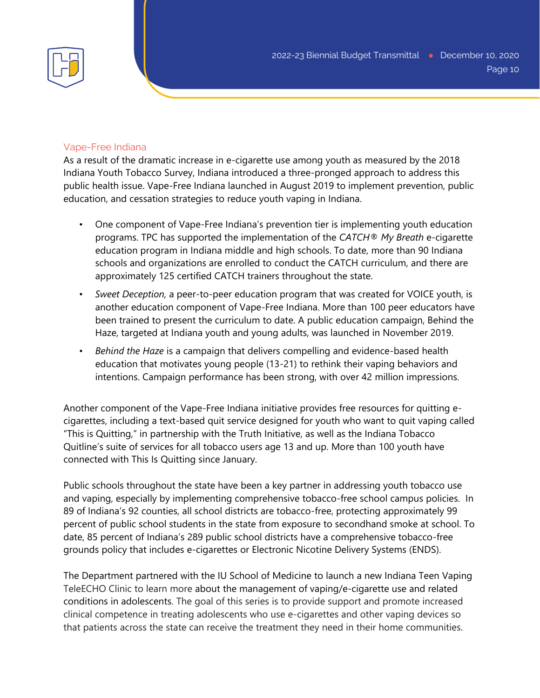

#### Vape-Free Indiana

As a result of the dramatic increase in e-cigarette use among youth as measured by the 2018 Indiana Youth Tobacco Survey, Indiana introduced a three-pronged approach to address this public health issue. Vape-Free Indiana launched in August 2019 to implement prevention, public education, and cessation strategies to reduce youth vaping in Indiana.

- One component of Vape-Free Indiana's prevention tier is implementing youth education programs. TPC has supported the implementation of the *CATCH® My Breath* e-cigarette education program in Indiana middle and high schools. To date, more than 90 Indiana schools and organizations are enrolled to conduct the CATCH curriculum, and there are approximately 125 certified CATCH trainers throughout the state.
- *Sweet Deception,* a peer-to-peer education program that was created for VOICE youth, is another education component of Vape-Free Indiana. More than 100 peer educators have been trained to present the curriculum to date. A public education campaign, Behind the Haze, targeted at Indiana youth and young adults, was launched in November 2019.
- *Behind the Haze* is a campaign that delivers compelling and evidence-based health education that motivates young people (13-21) to rethink their vaping behaviors and intentions. Campaign performance has been strong, with over 42 million impressions.

Another component of the Vape-Free Indiana initiative provides free resources for quitting ecigarettes, including a text-based quit service designed for youth who want to quit vaping called "This is Quitting," in partnership with the Truth Initiative, as well as the Indiana Tobacco Quitline's suite of services for all tobacco users age 13 and up. More than 100 youth have connected with This Is Quitting since January.

Public schools throughout the state have been a key partner in addressing youth tobacco use and vaping, especially by implementing comprehensive tobacco-free school campus policies. In 89 of Indiana's 92 counties, all school districts are tobacco-free, protecting approximately 99 percent of public school students in the state from exposure to secondhand smoke at school. To date, 85 percent of Indiana's 289 public school districts have a comprehensive tobacco-free grounds policy that includes e-cigarettes or Electronic Nicotine Delivery Systems (ENDS).

The Department partnered with the IU School of Medicine to launch a new Indiana Teen Vaping TeleECHO Clinic to learn more about the management of vaping/e-cigarette use and related conditions in adolescents. The goal of this series is to provide support and promote increased clinical competence in treating adolescents who use e-cigarettes and other vaping devices so that patients across the state can receive the treatment they need in their home communities.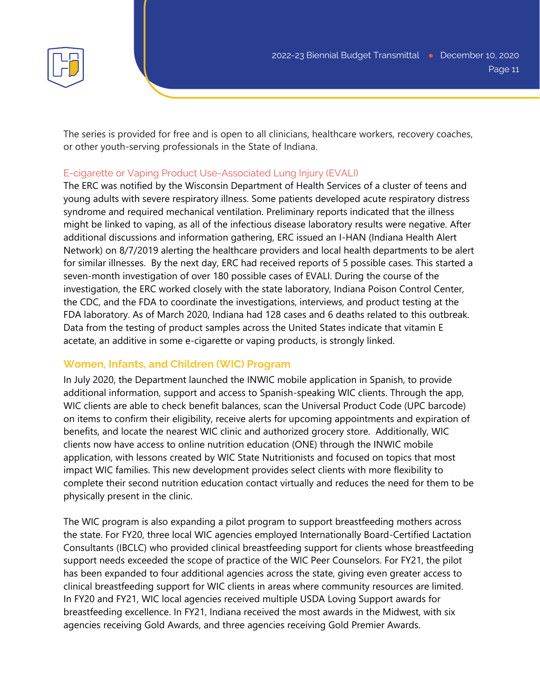

The series is provided for free and is open to all clinicians, healthcare workers, recovery coaches, or other youth-serving professionals in the State of Indiana.

#### E-cigarette or Vaping Product Use-Associated Lung Injury (EVALI)

The ERC was notified by the Wisconsin Department of Health Services of a cluster of teens and young adults with severe respiratory illness. Some patients developed acute respiratory distress syndrome and required mechanical ventilation. Preliminary reports indicated that the illness might be linked to vaping, as all of the infectious disease laboratory results were negative. After additional discussions and information gathering, ERC issued an I-HAN (Indiana Health Alert Network) on 8/7/2019 alerting the healthcare providers and local health departments to be alert for similar illnesses. By the next day, ERC had received reports of 5 possible cases. This started a seven-month investigation of over 180 possible cases of EVALI. During the course of the investigation, the ERC worked closely with the state laboratory, Indiana Poison Control Center, the CDC, and the FDA to coordinate the investigations, interviews, and product testing at the FDA laboratory. As of March 2020, Indiana had 128 cases and 6 deaths related to this outbreak. Data from the testing of product samples across the United States indicate that vitamin E acetate, an additive in some e-cigarette or vaping products, is strongly linked.

## **Women, Infants, and Children (WIC) Program**

In July 2020, the Department launched the INWIC mobile application in Spanish, to provide additional information, support and access to Spanish-speaking WIC clients. Through the app, WIC clients are able to check benefit balances, scan the Universal Product Code (UPC barcode) on items to confirm their eligibility, receive alerts for upcoming appointments and expiration of benefits, and locate the nearest WIC clinic and authorized grocery store. Additionally, WIC clients now have access to online nutrition education (ONE) through the INWIC mobile application, with lessons created by WIC State Nutritionists and focused on topics that most impact WIC families. This new development provides select clients with more flexibility to complete their second nutrition education contact virtually and reduces the need for them to be physically present in the clinic.

The WIC program is also expanding a pilot program to support breastfeeding mothers across the state. For FY20, three local WIC agencies employed Internationally Board-Certified Lactation Consultants (IBCLC) who provided clinical breastfeeding support for clients whose breastfeeding support needs exceeded the scope of practice of the WIC Peer Counselors. For FY21, the pilot has been expanded to four additional agencies across the state, giving even greater access to clinical breastfeeding support for WIC clients in areas where community resources are limited. In FY20 and FY21, WIC local agencies received multiple USDA Loving Support awards for breastfeeding excellence. In FY21, Indiana received the most awards in the Midwest, with six agencies receiving Gold Awards, and three agencies receiving Gold Premier Awards.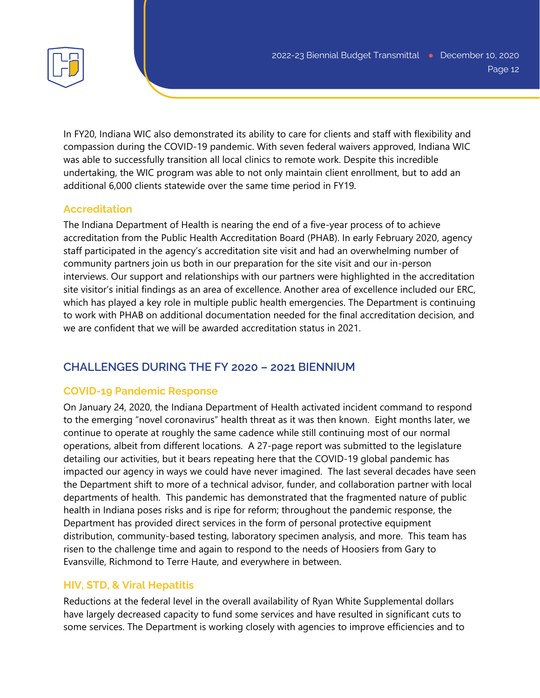In FY20, Indiana WIC also demonstrated its ability to care for clients and staff with flexibility and compassion during the COVID-19 pandemic. With seven federal waivers approved, Indiana WIC was able to successfully transition all local clinics to remote work. Despite this incredible undertaking, the WIC program was able to not only maintain client enrollment, but to add an additional 6,000 clients statewide over the same time period in FY19.

# **Accreditation**

The Indiana Department of Health is nearing the end of a five-year process of to achieve accreditation from the Public Health Accreditation Board (PHAB). In early February 2020, agency staff participated in the agency's accreditation site visit and had an overwhelming number of community partners join us both in our preparation for the site visit and our in-person interviews. Our support and relationships with our partners were highlighted in the accreditation site visitor's initial findings as an area of excellence. Another area of excellence included our ERC, which has played a key role in multiple public health emergencies. The Department is continuing to work with PHAB on additional documentation needed for the final accreditation decision, and we are confident that we will be awarded accreditation status in 2021.

# **CHALLENGES DURING THE FY 2020 – 2021 BIENNIUM**

# **COVID-19 Pandemic Response**

On January 24, 2020, the Indiana Department of Health activated incident command to respond to the emerging "novel coronavirus" health threat as it was then known. Eight months later, we continue to operate at roughly the same cadence while still continuing most of our normal operations, albeit from different locations. A 27-page report was submitted to the legislature detailing our activities, but it bears repeating here that the COVID-19 global pandemic has impacted our agency in ways we could have never imagined. The last several decades have seen the Department shift to more of a technical advisor, funder, and collaboration partner with local departments of health. This pandemic has demonstrated that the fragmented nature of public health in Indiana poses risks and is ripe for reform; throughout the pandemic response, the Department has provided direct services in the form of personal protective equipment distribution, community-based testing, laboratory specimen analysis, and more. This team has risen to the challenge time and again to respond to the needs of Hoosiers from Gary to Evansville, Richmond to Terre Haute, and everywhere in between.

# **HIV, STD, & Viral Hepatitis**

Reductions at the federal level in the overall availability of Ryan White Supplemental dollars have largely decreased capacity to fund some services and have resulted in significant cuts to some services. The Department is working closely with agencies to improve efficiencies and to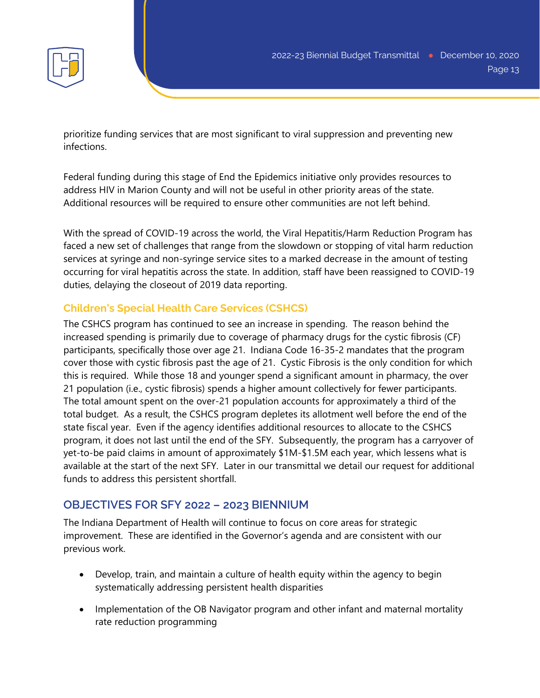prioritize funding services that are most significant to viral suppression and preventing new infections.

Federal funding during this stage of End the Epidemics initiative only provides resources to address HIV in Marion County and will not be useful in other priority areas of the state. Additional resources will be required to ensure other communities are not left behind.

With the spread of COVID-19 across the world, the Viral Hepatitis/Harm Reduction Program has faced a new set of challenges that range from the slowdown or stopping of vital harm reduction services at syringe and non-syringe service sites to a marked decrease in the amount of testing occurring for viral hepatitis across the state. In addition, staff have been reassigned to COVID-19 duties, delaying the closeout of 2019 data reporting.

# **Children's Special Health Care Services (CSHCS)**

The CSHCS program has continued to see an increase in spending. The reason behind the increased spending is primarily due to coverage of pharmacy drugs for the cystic fibrosis (CF) participants, specifically those over age 21. Indiana Code 16-35-2 mandates that the program cover those with cystic fibrosis past the age of 21. Cystic Fibrosis is the only condition for which this is required. While those 18 and younger spend a significant amount in pharmacy, the over 21 population (i.e., cystic fibrosis) spends a higher amount collectively for fewer participants. The total amount spent on the over-21 population accounts for approximately a third of the total budget. As a result, the CSHCS program depletes its allotment well before the end of the state fiscal year. Even if the agency identifies additional resources to allocate to the CSHCS program, it does not last until the end of the SFY. Subsequently, the program has a carryover of yet-to-be paid claims in amount of approximately \$1M-\$1.5M each year, which lessens what is available at the start of the next SFY. Later in our transmittal we detail our request for additional funds to address this persistent shortfall.

# **OBJECTIVES FOR SFY 2022 – 2023 BIENNIUM**

The Indiana Department of Health will continue to focus on core areas for strategic improvement. These are identified in the Governor's agenda and are consistent with our previous work.

- Develop, train, and maintain a culture of health equity within the agency to begin systematically addressing persistent health disparities
- Implementation of the OB Navigator program and other infant and maternal mortality rate reduction programming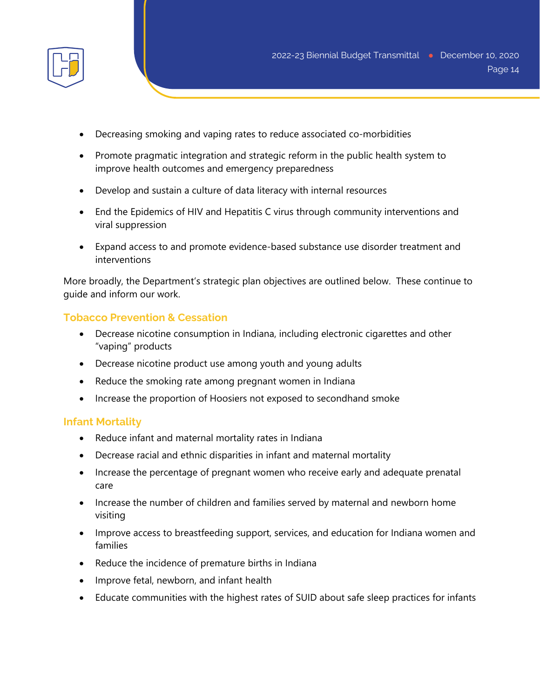

- Decreasing smoking and vaping rates to reduce associated co-morbidities
- Promote pragmatic integration and strategic reform in the public health system to improve health outcomes and emergency preparedness
- Develop and sustain a culture of data literacy with internal resources
- End the Epidemics of HIV and Hepatitis C virus through community interventions and viral suppression
- Expand access to and promote evidence-based substance use disorder treatment and interventions

More broadly, the Department's strategic plan objectives are outlined below. These continue to guide and inform our work.

#### **Tobacco Prevention & Cessation**

- Decrease nicotine consumption in Indiana, including electronic cigarettes and other "vaping" products
- Decrease nicotine product use among youth and young adults
- Reduce the smoking rate among pregnant women in Indiana
- Increase the proportion of Hoosiers not exposed to secondhand smoke

#### **Infant Mortality**

- Reduce infant and maternal mortality rates in Indiana
- Decrease racial and ethnic disparities in infant and maternal mortality
- Increase the percentage of pregnant women who receive early and adequate prenatal care
- Increase the number of children and families served by maternal and newborn home visiting
- Improve access to breastfeeding support, services, and education for Indiana women and families
- Reduce the incidence of premature births in Indiana
- Improve fetal, newborn, and infant health
- Educate communities with the highest rates of SUID about safe sleep practices for infants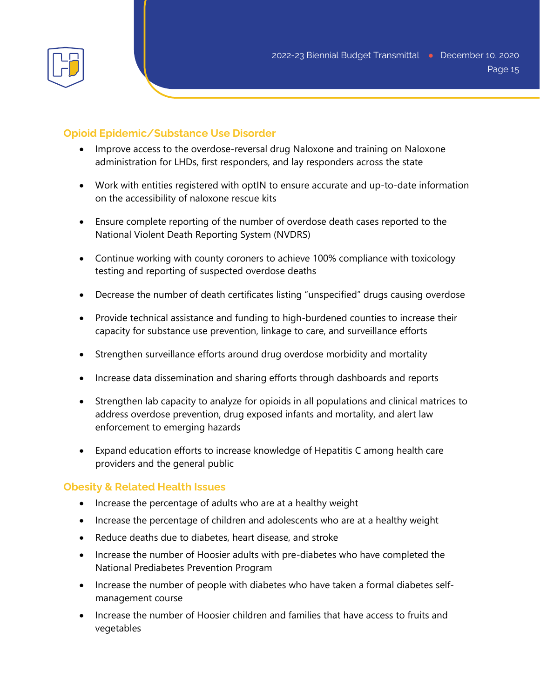

## **Opioid Epidemic/Substance Use Disorder**

- Improve access to the overdose-reversal drug Naloxone and training on Naloxone administration for LHDs, first responders, and lay responders across the state
- Work with entities registered with optIN to ensure accurate and up-to-date information on the accessibility of naloxone rescue kits
- Ensure complete reporting of the number of overdose death cases reported to the National Violent Death Reporting System (NVDRS)
- Continue working with county coroners to achieve 100% compliance with toxicology testing and reporting of suspected overdose deaths
- Decrease the number of death certificates listing "unspecified" drugs causing overdose
- Provide technical assistance and funding to high-burdened counties to increase their capacity for substance use prevention, linkage to care, and surveillance efforts
- Strengthen surveillance efforts around drug overdose morbidity and mortality
- Increase data dissemination and sharing efforts through dashboards and reports
- Strengthen lab capacity to analyze for opioids in all populations and clinical matrices to address overdose prevention, drug exposed infants and mortality, and alert law enforcement to emerging hazards
- Expand education efforts to increase knowledge of Hepatitis C among health care providers and the general public

## **Obesity & Related Health Issues**

- Increase the percentage of adults who are at a healthy weight
- Increase the percentage of children and adolescents who are at a healthy weight
- Reduce deaths due to diabetes, heart disease, and stroke
- Increase the number of Hoosier adults with pre-diabetes who have completed the National Prediabetes Prevention Program
- Increase the number of people with diabetes who have taken a formal diabetes selfmanagement course
- Increase the number of Hoosier children and families that have access to fruits and vegetables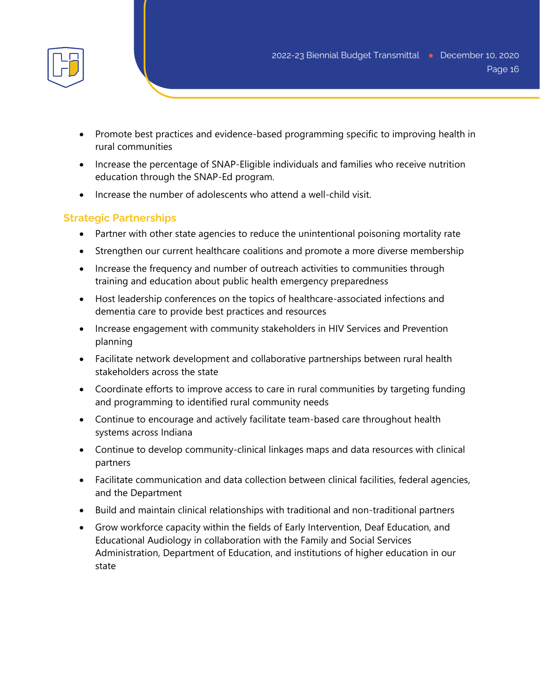- Promote best practices and evidence-based programming specific to improving health in rural communities
- Increase the percentage of SNAP-Eligible individuals and families who receive nutrition education through the SNAP-Ed program.
- Increase the number of adolescents who attend a well-child visit.

# **Strategic Partnerships**

- Partner with other state agencies to reduce the unintentional poisoning mortality rate
- Strengthen our current healthcare coalitions and promote a more diverse membership
- Increase the frequency and number of outreach activities to communities through training and education about public health emergency preparedness
- Host leadership conferences on the topics of healthcare-associated infections and dementia care to provide best practices and resources
- Increase engagement with community stakeholders in HIV Services and Prevention planning
- Facilitate network development and collaborative partnerships between rural health stakeholders across the state
- Coordinate efforts to improve access to care in rural communities by targeting funding and programming to identified rural community needs
- Continue to encourage and actively facilitate team-based care throughout health systems across Indiana
- Continue to develop community-clinical linkages maps and data resources with clinical partners
- Facilitate communication and data collection between clinical facilities, federal agencies, and the Department
- Build and maintain clinical relationships with traditional and non-traditional partners
- Grow workforce capacity within the fields of Early Intervention, Deaf Education, and Educational Audiology in collaboration with the Family and Social Services Administration, Department of Education, and institutions of higher education in our state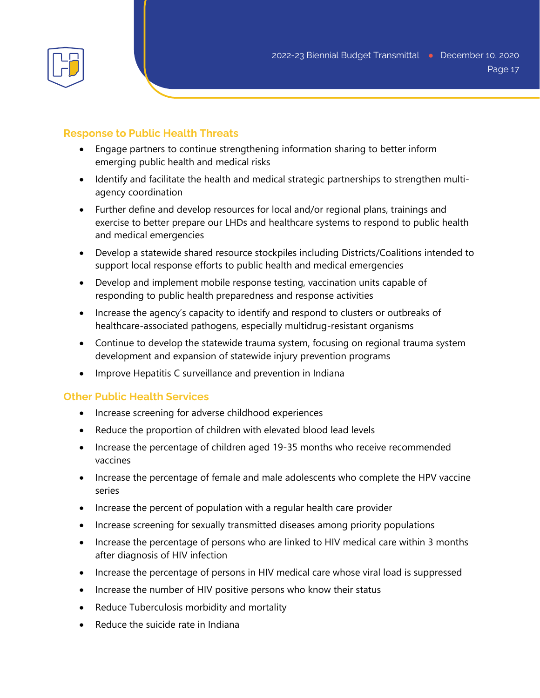

## **Response to Public Health Threats**

- Engage partners to continue strengthening information sharing to better inform emerging public health and medical risks
- Identify and facilitate the health and medical strategic partnerships to strengthen multiagency coordination
- Further define and develop resources for local and/or regional plans, trainings and exercise to better prepare our LHDs and healthcare systems to respond to public health and medical emergencies
- Develop a statewide shared resource stockpiles including Districts/Coalitions intended to support local response efforts to public health and medical emergencies
- Develop and implement mobile response testing, vaccination units capable of responding to public health preparedness and response activities
- Increase the agency's capacity to identify and respond to clusters or outbreaks of healthcare-associated pathogens, especially multidrug-resistant organisms
- Continue to develop the statewide trauma system, focusing on regional trauma system development and expansion of statewide injury prevention programs
- Improve Hepatitis C surveillance and prevention in Indiana

## **Other Public Health Services**

- Increase screening for adverse childhood experiences
- Reduce the proportion of children with elevated blood lead levels
- Increase the percentage of children aged 19-35 months who receive recommended vaccines
- Increase the percentage of female and male adolescents who complete the HPV vaccine series
- Increase the percent of population with a regular health care provider
- Increase screening for sexually transmitted diseases among priority populations
- Increase the percentage of persons who are linked to HIV medical care within 3 months after diagnosis of HIV infection
- Increase the percentage of persons in HIV medical care whose viral load is suppressed
- Increase the number of HIV positive persons who know their status
- Reduce Tuberculosis morbidity and mortality
- Reduce the suicide rate in Indiana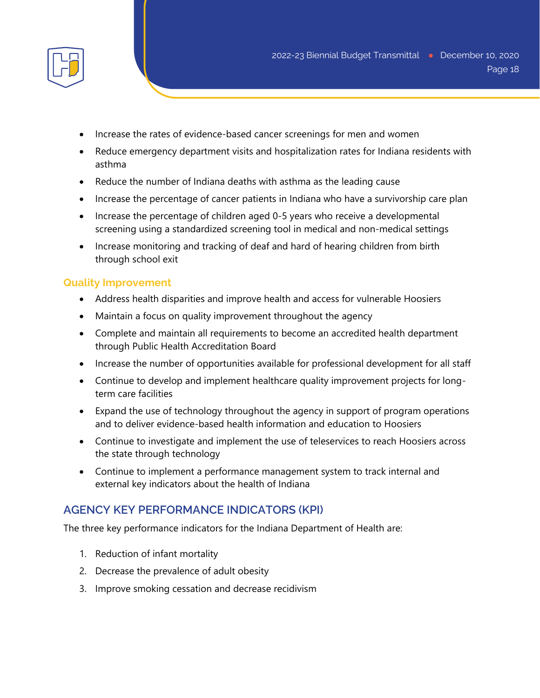

- Increase the rates of evidence-based cancer screenings for men and women
- Reduce emergency department visits and hospitalization rates for Indiana residents with asthma
- Reduce the number of Indiana deaths with asthma as the leading cause
- Increase the percentage of cancer patients in Indiana who have a survivorship care plan
- Increase the percentage of children aged 0-5 years who receive a developmental screening using a standardized screening tool in medical and non-medical settings
- Increase monitoring and tracking of deaf and hard of hearing children from birth through school exit

#### **Quality Improvement**

- Address health disparities and improve health and access for vulnerable Hoosiers
- Maintain a focus on quality improvement throughout the agency
- Complete and maintain all requirements to become an accredited health department through Public Health Accreditation Board
- Increase the number of opportunities available for professional development for all staff
- Continue to develop and implement healthcare quality improvement projects for longterm care facilities
- Expand the use of technology throughout the agency in support of program operations and to deliver evidence-based health information and education to Hoosiers
- Continue to investigate and implement the use of teleservices to reach Hoosiers across the state through technology
- Continue to implement a performance management system to track internal and external key indicators about the health of Indiana

## **AGENCY KEY PERFORMANCE INDICATORS (KPI)**

The three key performance indicators for the Indiana Department of Health are:

- 1. Reduction of infant mortality
- 2. Decrease the prevalence of adult obesity
- 3. Improve smoking cessation and decrease recidivism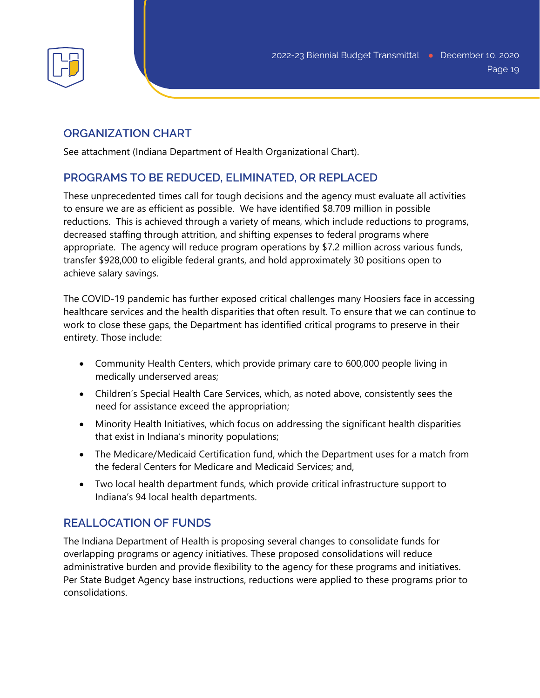

## **ORGANIZATION CHART**

See attachment (Indiana Department of Health Organizational Chart).

# **PROGRAMS TO BE REDUCED, ELIMINATED, OR REPLACED**

These unprecedented times call for tough decisions and the agency must evaluate all activities to ensure we are as efficient as possible. We have identified \$8.709 million in possible reductions. This is achieved through a variety of means, which include reductions to programs, decreased staffing through attrition, and shifting expenses to federal programs where appropriate. The agency will reduce program operations by \$7.2 million across various funds, transfer \$928,000 to eligible federal grants, and hold approximately 30 positions open to achieve salary savings.

The COVID-19 pandemic has further exposed critical challenges many Hoosiers face in accessing healthcare services and the health disparities that often result. To ensure that we can continue to work to close these gaps, the Department has identified critical programs to preserve in their entirety. Those include:

- Community Health Centers, which provide primary care to 600,000 people living in medically underserved areas;
- Children's Special Health Care Services, which, as noted above, consistently sees the need for assistance exceed the appropriation;
- Minority Health Initiatives, which focus on addressing the significant health disparities that exist in Indiana's minority populations;
- The Medicare/Medicaid Certification fund, which the Department uses for a match from the federal Centers for Medicare and Medicaid Services; and,
- Two local health department funds, which provide critical infrastructure support to Indiana's 94 local health departments.

# **REALLOCATION OF FUNDS**

The Indiana Department of Health is proposing several changes to consolidate funds for overlapping programs or agency initiatives. These proposed consolidations will reduce administrative burden and provide flexibility to the agency for these programs and initiatives. Per State Budget Agency base instructions, reductions were applied to these programs prior to consolidations.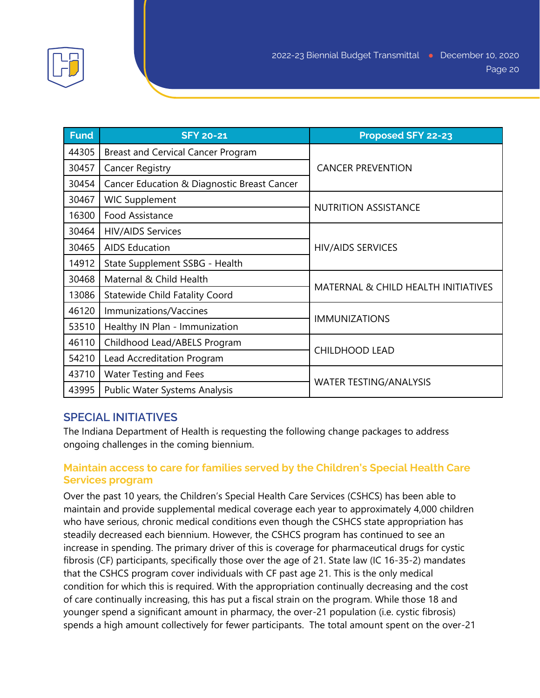

| <b>Fund</b> | <b>SFY 20-21</b>                            | Proposed SFY 22-23                  |
|-------------|---------------------------------------------|-------------------------------------|
| 44305       | <b>Breast and Cervical Cancer Program</b>   | <b>CANCER PREVENTION</b>            |
| 30457       | <b>Cancer Registry</b>                      |                                     |
| 30454       | Cancer Education & Diagnostic Breast Cancer |                                     |
| 30467       | <b>WIC Supplement</b>                       | <b>NUTRITION ASSISTANCE</b>         |
| 16300       | Food Assistance                             |                                     |
| 30464       | <b>HIV/AIDS Services</b>                    | <b>HIV/AIDS SERVICES</b>            |
| 30465       | <b>AIDS Education</b>                       |                                     |
| 14912       | State Supplement SSBG - Health              |                                     |
| 30468       | Maternal & Child Health                     | MATERNAL & CHILD HEALTH INITIATIVES |
| 13086       | <b>Statewide Child Fatality Coord</b>       |                                     |
| 46120       | Immunizations/Vaccines                      | <b>IMMUNIZATIONS</b>                |
| 53510       | Healthy IN Plan - Immunization              |                                     |
| 46110       | Childhood Lead/ABELS Program                | <b>CHILDHOOD LEAD</b>               |
| 54210       | Lead Accreditation Program                  |                                     |
| 43710       | <b>Water Testing and Fees</b>               | <b>WATER TESTING/ANALYSIS</b>       |
| 43995       | Public Water Systems Analysis               |                                     |

## **SPECIAL INITIATIVES**

The Indiana Department of Health is requesting the following change packages to address ongoing challenges in the coming biennium.

## **Maintain access to care for families served by the Children's Special Health Care Services program**

Over the past 10 years, the Children's Special Health Care Services (CSHCS) has been able to maintain and provide supplemental medical coverage each year to approximately 4,000 children who have serious, chronic medical conditions even though the CSHCS state appropriation has steadily decreased each biennium. However, the CSHCS program has continued to see an increase in spending. The primary driver of this is coverage for pharmaceutical drugs for cystic fibrosis (CF) participants, specifically those over the age of 21. State law (IC 16-35-2) mandates that the CSHCS program cover individuals with CF past age 21. This is the only medical condition for which this is required. With the appropriation continually decreasing and the cost of care continually increasing, this has put a fiscal strain on the program. While those 18 and younger spend a significant amount in pharmacy, the over-21 population (i.e. cystic fibrosis) spends a high amount collectively for fewer participants. The total amount spent on the over-21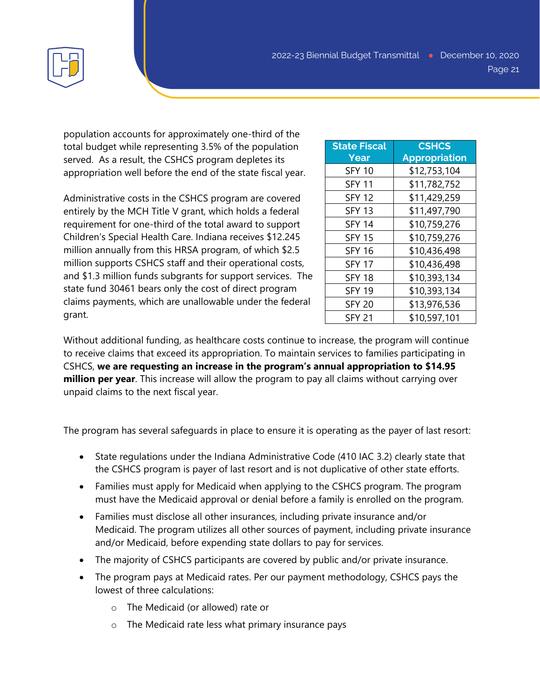

population accounts for approximately one-third of the total budget while representing 3.5% of the population served. As a result, the CSHCS program depletes its appropriation well before the end of the state fiscal year.

Administrative costs in the CSHCS program are covered entirely by the MCH Title V grant, which holds a federal requirement for one-third of the total award to support Children's Special Health Care. Indiana receives \$12.245 million annually from this HRSA program, of which \$2.5 million supports CSHCS staff and their operational costs, and \$1.3 million funds subgrants for support services. The state fund 30461 bears only the cost of direct program claims payments, which are unallowable under the federal grant.

| <b>State Fiscal</b><br>Year | <b>CSHCS</b><br><b>Appropriation</b> |
|-----------------------------|--------------------------------------|
| <b>SFY 10</b>               | \$12,753,104                         |
| <b>SFY 11</b>               | \$11,782,752                         |
| <b>SFY 12</b>               | \$11,429,259                         |
| <b>SFY 13</b>               | \$11,497,790                         |
| <b>SFY 14</b>               | \$10,759,276                         |
| <b>SFY 15</b>               | \$10,759,276                         |
| <b>SFY 16</b>               | \$10,436,498                         |
| <b>SFY 17</b>               | \$10,436,498                         |
| <b>SFY 18</b>               | \$10,393,134                         |
| <b>SFY 19</b>               | \$10,393,134                         |
| <b>SFY 20</b>               | \$13,976,536                         |
| <b>SFY 21</b>               | \$10,597,101                         |

Without additional funding, as healthcare costs continue to increase, the program will continue to receive claims that exceed its appropriation. To maintain services to families participating in CSHCS, **we are requesting an increase in the program's annual appropriation to \$14.95 million per year**. This increase will allow the program to pay all claims without carrying over unpaid claims to the next fiscal year.

The program has several safeguards in place to ensure it is operating as the payer of last resort:

- State regulations under the Indiana Administrative Code (410 IAC 3.2) clearly state that the CSHCS program is payer of last resort and is not duplicative of other state efforts.
- Families must apply for Medicaid when applying to the CSHCS program. The program must have the Medicaid approval or denial before a family is enrolled on the program.
- Families must disclose all other insurances, including private insurance and/or Medicaid. The program utilizes all other sources of payment, including private insurance and/or Medicaid, before expending state dollars to pay for services.
- The majority of CSHCS participants are covered by public and/or private insurance.
- The program pays at Medicaid rates. Per our payment methodology, CSHCS pays the lowest of three calculations:
	- o The Medicaid (or allowed) rate or
	- o The Medicaid rate less what primary insurance pays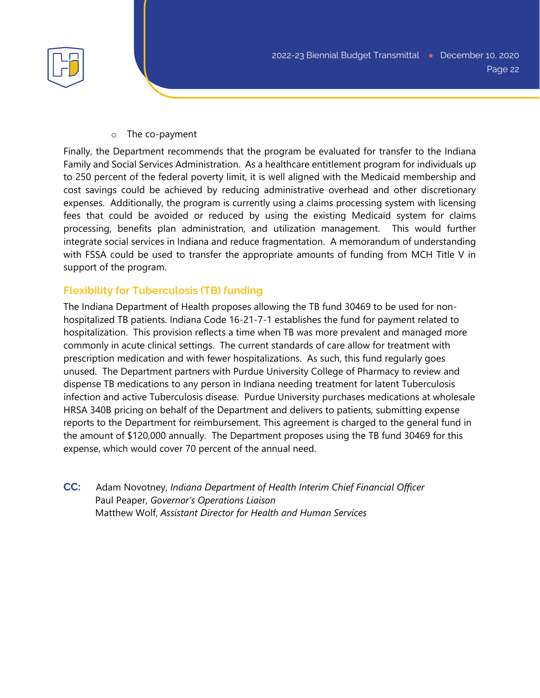

o The co-payment

Finally, the Department recommends that the program be evaluated for transfer to the Indiana Family and Social Services Administration. As a healthcare entitlement program for individuals up to 250 percent of the federal poverty limit, it is well aligned with the Medicaid membership and cost savings could be achieved by reducing administrative overhead and other discretionary expenses. Additionally, the program is currently using a claims processing system with licensing fees that could be avoided or reduced by using the existing Medicaid system for claims processing, benefits plan administration, and utilization management. This would further integrate social services in Indiana and reduce fragmentation. A memorandum of understanding with FSSA could be used to transfer the appropriate amounts of funding from MCH Title V in support of the program.

## **Flexibility for Tuberculosis (TB) funding**

The Indiana Department of Health proposes allowing the TB fund 30469 to be used for nonhospitalized TB patients. Indiana Code 16-21-7-1 establishes the fund for payment related to hospitalization. This provision reflects a time when TB was more prevalent and managed more commonly in acute clinical settings. The current standards of care allow for treatment with prescription medication and with fewer hospitalizations. As such, this fund regularly goes unused. The Department partners with Purdue University College of Pharmacy to review and dispense TB medications to any person in Indiana needing treatment for latent Tuberculosis infection and active Tuberculosis disease. Purdue University purchases medications at wholesale HRSA 340B pricing on behalf of the Department and delivers to patients, submitting expense reports to the Department for reimbursement. This agreement is charged to the general fund in the amount of \$120,000 annually. The Department proposes using the TB fund 30469 for this expense, which would cover 70 percent of the annual need.

**CC:** Adam Novotney, *Indiana Department of Health Interim Chief Financial Officer* Paul Peaper, *Governor's Operations Liaison* Matthew Wolf, *Assistant Director for Health and Human Services*